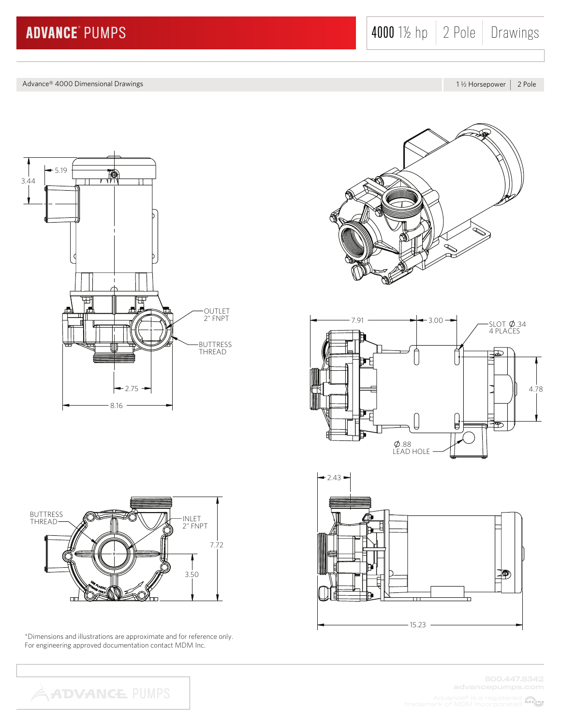Advance® 4000 Dimensional Drawings

1 1/2 Horsepower | 2 Pole





\*Dimensions and illustrations are approximate and for reference only. For engineering approved documentation contact MDM Inc.

**ADVANCE PUMPS** 





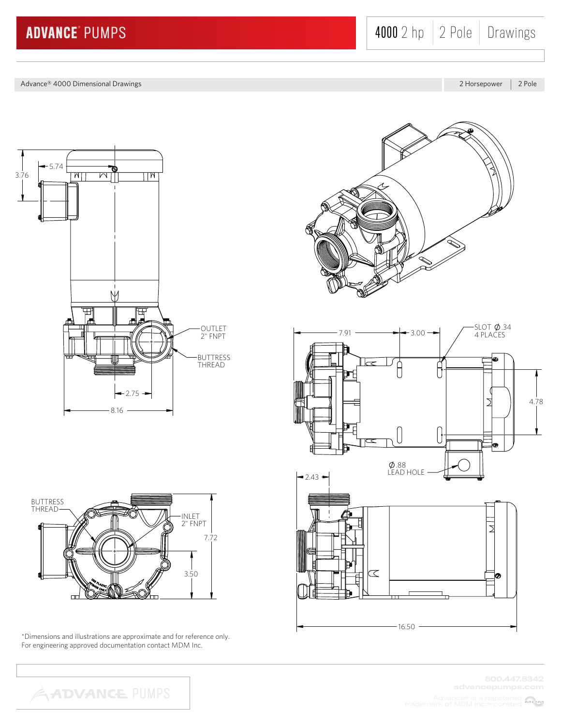Advance® 4000 Dimensional Drawings

2 Horsepower | 2 Pole





\*Dimensions and illustrations are approximate and for reference only. For engineering approved documentation contact MDM Inc.





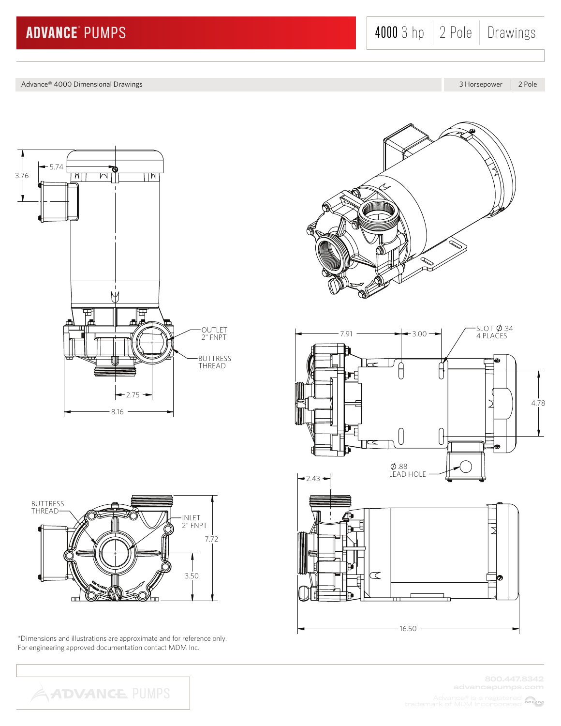4000 3 hp 2 Pole Drawings

Advance® 4000 Dimensional Drawings

3 Horsepower | 2 Pole





\*Dimensions and illustrations are approximate and for reference only. For engineering approved documentation contact MDM Inc.

**ADVANCE PUMPS** 

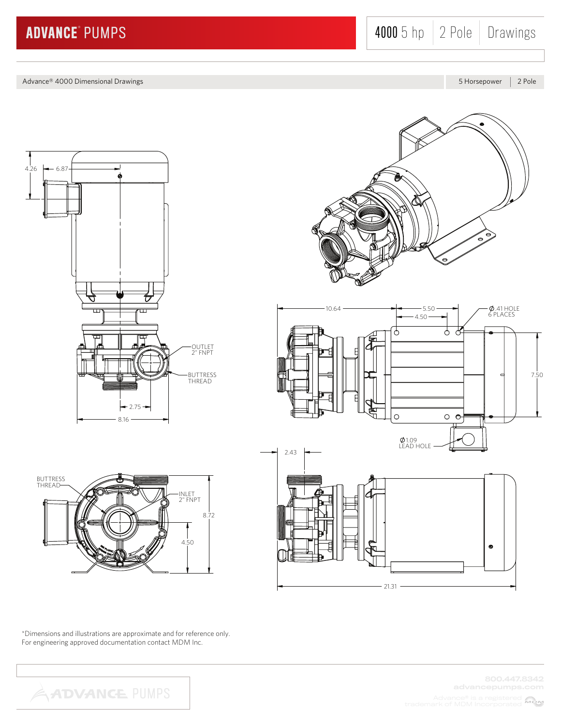4000 5 hp 2 Pole Drawings

Advance® 4000 Dimensional Drawings

5 Horsepower | 2 Pole





\*Dimensions and illustrations are approximate and for reference only. For engineering approved documentation contact MDM Inc.

4.50

INLET 2" FNPT

8.72



BUTTRESS THREAD